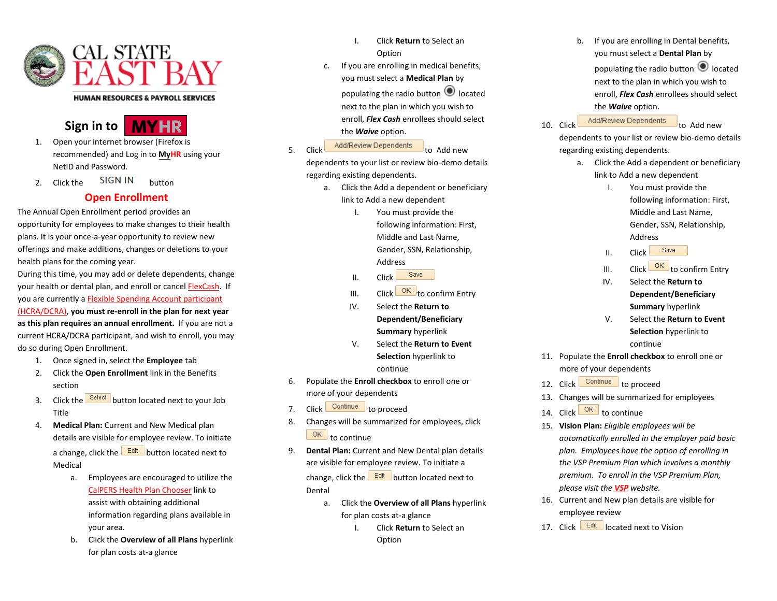

## **HUMAN RESOURCES & PAYROLL SERVICES**



- 1. Open your internet browser (Firefox is recommended) and Log in to **[My](https://www.csueastbay.edu/myhr/index.html)HR** using your NetID and Password.
- 2. Click the SIGN IN button

## **Open Enrollment**

The Annual Open Enrollment period provides an opportunity for employees to make changes to their health plans. It is your once-a-year opportunity to review new offerings and make additions, changes or deletions to your health plans for the coming year.

During this time, you may add or delete dependents, change your health or dental plan, and enroll or cance[l FlexCash.](https://www.csueastbay.edu/hr/benefits/health-plans/flex-cash.html) If you are currently [a Flexible Spending Account participant](https://www.csueastbay.edu/hr/benefits/flexible-spending/index.html) 

[\(HCRA/DCRA\),](https://www.csueastbay.edu/hr/benefits/flexible-spending/index.html) **you must re-enroll in the plan for next year as this plan requires an annual enrollment.** If you are not a current HCRA/DCRA participant, and wish to enroll, you may do so during Open Enrollment.

- 1. Once signed in, select the **Employee** tab
- 2. Click the **Open Enrollment** link in the Benefits section
- 3. Click the **Select** button located next to your Job Title
- 4. **Medical Plan:** Current and New Medical plan details are visible for employee review. To initiate a change, click the  $\sqrt{E^{\text{dit}}}$  button located next to Medical
	- a. Employees are encouraged to utilize the [CalPERS Health Plan Chooser](https://www.calpers.ca.gov/page/active-members/health-benefits/plans-and-rates/zip-search) link to assist with obtaining additional information regarding plans available in your area.
	- b. Click the **Overview of all Plans** hyperlink for plan costs at-a glance
- I. Click **Return** to Select an Option
- c. If you are enrolling in medical benefits, you must select a **Medical Plan** by populating the radio button  $\bigcirc$  located next to the plan in which you wish to enroll, *Flex Cash* enrollees should select the *Waive* option.
- 5. Click Add/Review Dependents to Add new

dependents to your list or review bio-demo details regarding existing dependents.

- a. Click the Add a dependent or beneficiary link to Add a new dependent
	- I. You must provide the following information: First, Middle and Last Name, Gender, SSN, Relationship, Address
	- Save II. Click
	- III.  $\begin{array}{c|c}\n\hline\n\end{array}$  Click  $\begin{array}{c|c}\n\hline\n\end{array}$  Click to confirm Entry
	- IV. Select the **Return to Dependent/Beneficiary Summary** hyperlink
	- V. Select the **Return to Event Selection** hyperlink to continue
- 6. Populate the **Enroll checkbox** to enroll one or more of your dependents
- 7. Click Continue to proceed
- 8. Changes will be summarized for employees, click  $\overline{OK}$  to continue
- 9. **Dental Plan:** Current and New Dental plan details are visible for employee review. To initiate a change, click the  $\frac{Edit}{width}$  button located next to Dental
	- a. Click the **Overview of all Plans** hyperlink for plan costs at-a glance
		- I. Click **Return** to Select an Option

b. If you are enrolling in Dental benefits, you must select a **Dental Plan** by populating the radio button  $\bigcirc$  located next to the plan in which you wish to enroll, *Flex Cash* enrollees should select the *Waive* option.

10. Click Add/Review Dependents to Add new

dependents to your list or review bio-demo details regarding existing dependents.

- a. Click the Add a dependent or beneficiary link to Add a new dependent
	- I. You must provide the following information: First, Middle and Last Name, Gender, SSN, Relationship, Address
	- Save II. Click
	- III. Click  $\frac{OK}{C}$  to confirm Entry
	- IV. Select the **Return to Dependent/Beneficiary Summary** hyperlink
	- V. Select the **Return to Event Selection** hyperlink to continue
- 11. Populate the **Enroll checkbox** to enroll one or more of your dependents
- 12. Click Continue to proceed
- 13. Changes will be summarized for employees
- 14. Click  $\frac{OK}{R}$  to continue
- 15. **Vision Plan:** *Eligible employees will be automatically enrolled in the employer paid basic plan. Employees have the option of enrolling in the VSP Premium Plan which involves a monthly premium. To enroll in the VSP Premium Plan, please visit the [VSP](http://csuactives.vspforme.com/) website.*
- 16. Current and New plan details are visible for employee review
- 17. Click **Edit** located next to Vision